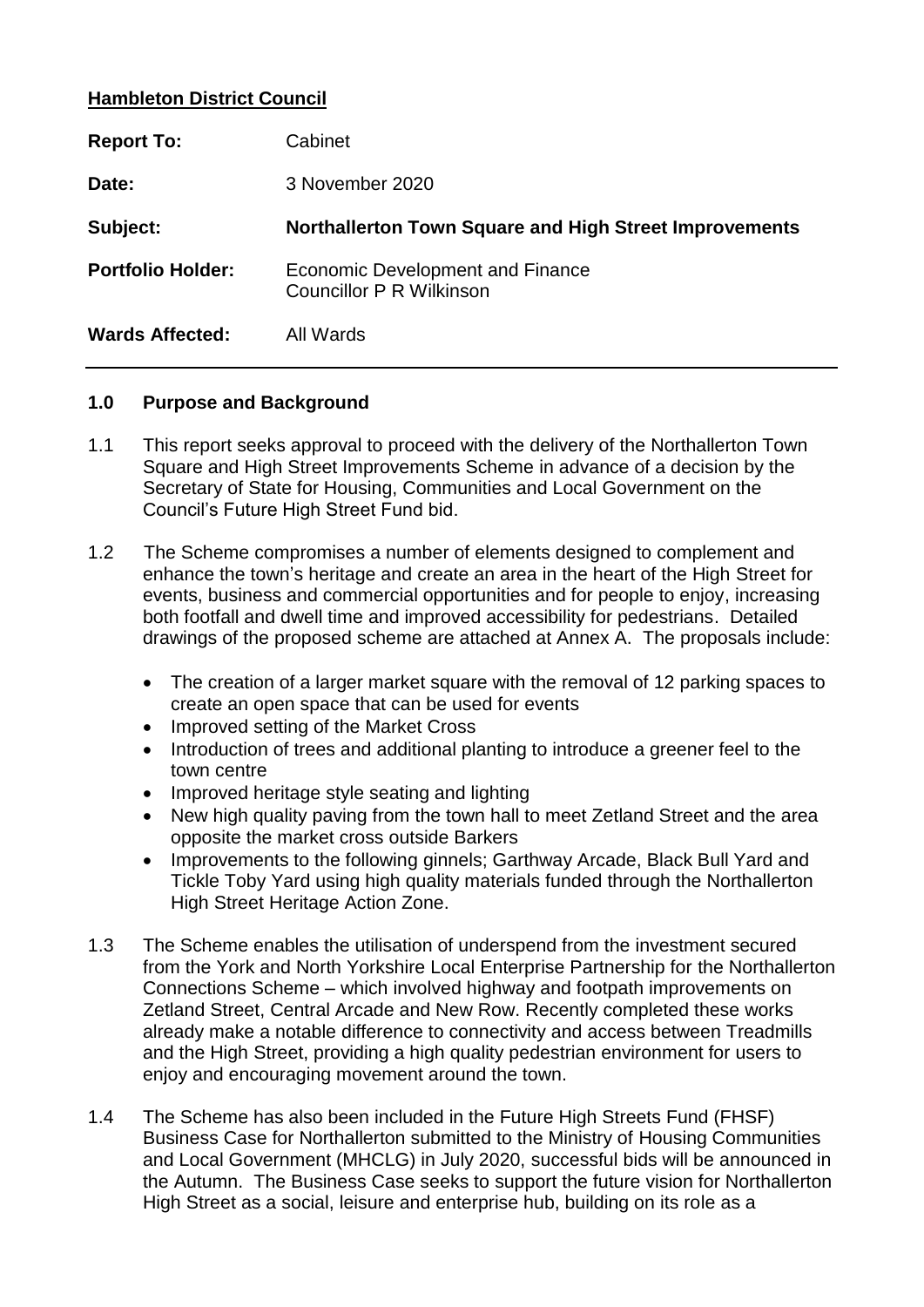## **Hambleton District Council**

| <b>Report To:</b>        | Cabinet                                                             |
|--------------------------|---------------------------------------------------------------------|
| Date:                    | 3 November 2020                                                     |
| Subject:                 | Northallerton Town Square and High Street Improvements              |
| <b>Portfolio Holder:</b> | Economic Development and Finance<br><b>Councillor P R Wilkinson</b> |
| <b>Wards Affected:</b>   |                                                                     |

### **1.0 Purpose and Background**

- 1.1 This report seeks approval to proceed with the delivery of the Northallerton Town Square and High Street Improvements Scheme in advance of a decision by the Secretary of State for Housing, Communities and Local Government on the Council's Future High Street Fund bid.
- 1.2 The Scheme compromises a number of elements designed to complement and enhance the town's heritage and create an area in the heart of the High Street for events, business and commercial opportunities and for people to enjoy, increasing both footfall and dwell time and improved accessibility for pedestrians. Detailed drawings of the proposed scheme are attached at Annex A. The proposals include:
	- The creation of a larger market square with the removal of 12 parking spaces to create an open space that can be used for events
	- Improved setting of the Market Cross
	- Introduction of trees and additional planting to introduce a greener feel to the town centre
	- Improved heritage style seating and lighting
	- New high quality paving from the town hall to meet Zetland Street and the area opposite the market cross outside Barkers
	- Improvements to the following ginnels; Garthway Arcade, Black Bull Yard and Tickle Toby Yard using high quality materials funded through the Northallerton High Street Heritage Action Zone.
- 1.3 The Scheme enables the utilisation of underspend from the investment secured from the York and North Yorkshire Local Enterprise Partnership for the Northallerton Connections Scheme – which involved highway and footpath improvements on Zetland Street, Central Arcade and New Row. Recently completed these works already make a notable difference to connectivity and access between Treadmills and the High Street, providing a high quality pedestrian environment for users to enjoy and encouraging movement around the town.
- 1.4 The Scheme has also been included in the Future High Streets Fund (FHSF) Business Case for Northallerton submitted to the Ministry of Housing Communities and Local Government (MHCLG) in July 2020, successful bids will be announced in the Autumn. The Business Case seeks to support the future vision for Northallerton High Street as a social, leisure and enterprise hub, building on its role as a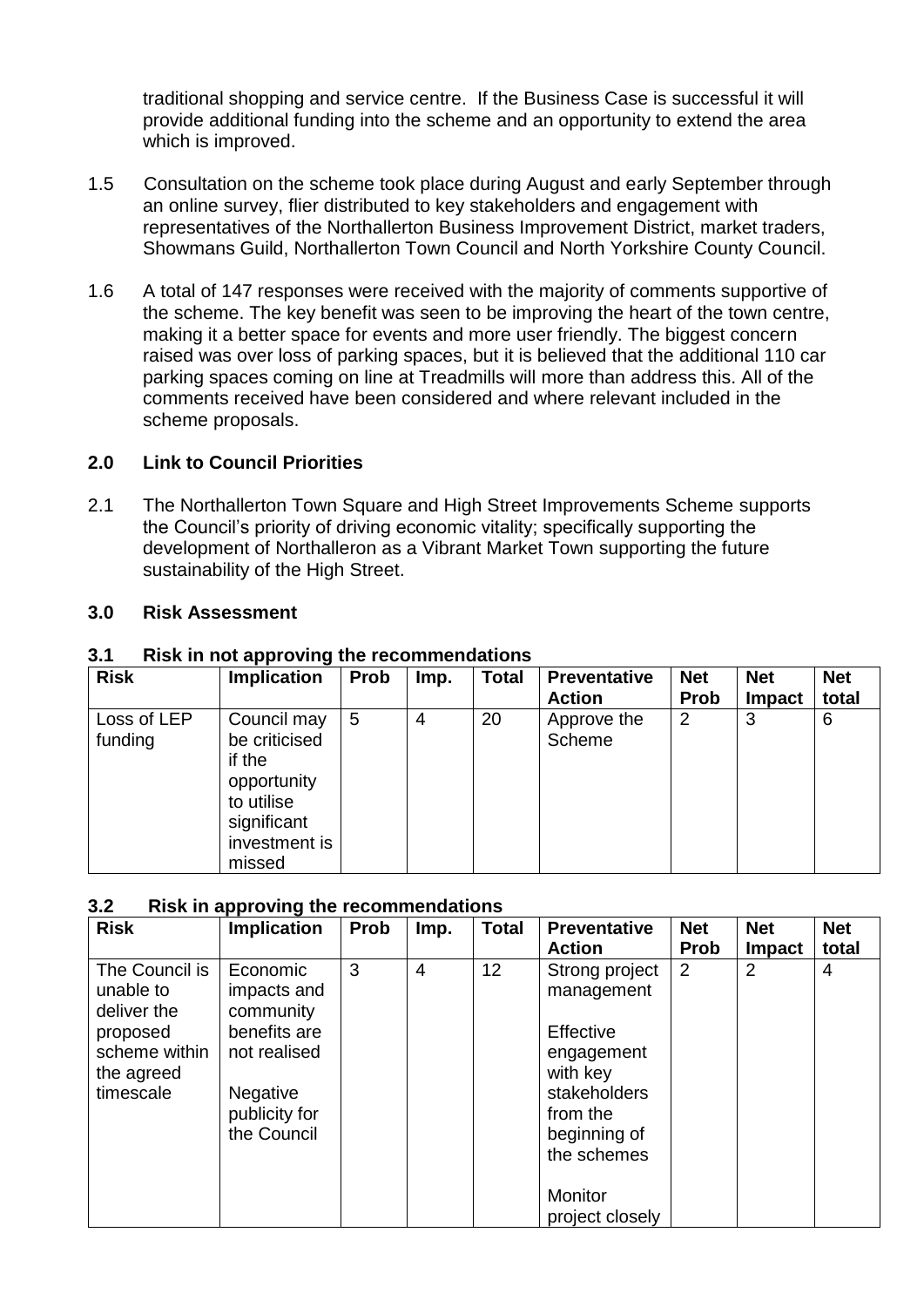traditional shopping and service centre. If the Business Case is successful it will provide additional funding into the scheme and an opportunity to extend the area which is improved.

- 1.5 Consultation on the scheme took place during August and early September through an online survey, flier distributed to key stakeholders and engagement with representatives of the Northallerton Business Improvement District, market traders, Showmans Guild, Northallerton Town Council and North Yorkshire County Council.
- 1.6 A total of 147 responses were received with the majority of comments supportive of the scheme. The key benefit was seen to be improving the heart of the town centre, making it a better space for events and more user friendly. The biggest concern raised was over loss of parking spaces, but it is believed that the additional 110 car parking spaces coming on line at Treadmills will more than address this. All of the comments received have been considered and where relevant included in the scheme proposals.

## **2.0 Link to Council Priorities**

2.1 The Northallerton Town Square and High Street Improvements Scheme supports the Council's priority of driving economic vitality; specifically supporting the development of Northalleron as a Vibrant Market Town supporting the future sustainability of the High Street.

## **3.0 Risk Assessment**

| <b>Risk</b>            | <b>Implication</b>                                                  | Prob | Imp. | <b>Total</b> | <b>Preventative</b>   | <b>Net</b>  | <b>Net</b>    | <b>Net</b> |
|------------------------|---------------------------------------------------------------------|------|------|--------------|-----------------------|-------------|---------------|------------|
|                        |                                                                     |      |      |              | <b>Action</b>         | <b>Prob</b> | <b>Impact</b> | total      |
| Loss of LEP<br>funding | Council may<br>be criticised<br>if the<br>opportunity<br>to utilise | 5    | 4    | 20           | Approve the<br>Scheme | 2           | 3             | 6          |
|                        | significant<br>investment is<br>missed                              |      |      |              |                       |             |               |            |

## **3.1 Risk in not approving the recommendations**

#### **3.2 Risk in approving the recommendations**

| <b>Risk</b>                                | <b>Implication</b>                   | <b>Prob</b> | Imp.           | <b>Total</b>    | <b>Preventative</b><br><b>Action</b> | <b>Net</b><br><b>Prob</b> | <b>Net</b><br>Impact | <b>Net</b><br>total |
|--------------------------------------------|--------------------------------------|-------------|----------------|-----------------|--------------------------------------|---------------------------|----------------------|---------------------|
| The Council is<br>unable to<br>deliver the | Economic<br>impacts and<br>community | 3           | $\overline{4}$ | 12 <sub>2</sub> | Strong project<br>management         | 2                         | $\overline{2}$       | 4                   |
| proposed                                   | benefits are                         |             |                |                 | Effective                            |                           |                      |                     |
| scheme within<br>the agreed                | not realised                         |             |                |                 | engagement<br>with key               |                           |                      |                     |
| timescale                                  | <b>Negative</b>                      |             |                |                 | stakeholders                         |                           |                      |                     |
|                                            | publicity for                        |             |                |                 | from the                             |                           |                      |                     |
|                                            | the Council                          |             |                |                 | beginning of                         |                           |                      |                     |
|                                            |                                      |             |                |                 | the schemes                          |                           |                      |                     |
|                                            |                                      |             |                |                 | Monitor<br>project closely           |                           |                      |                     |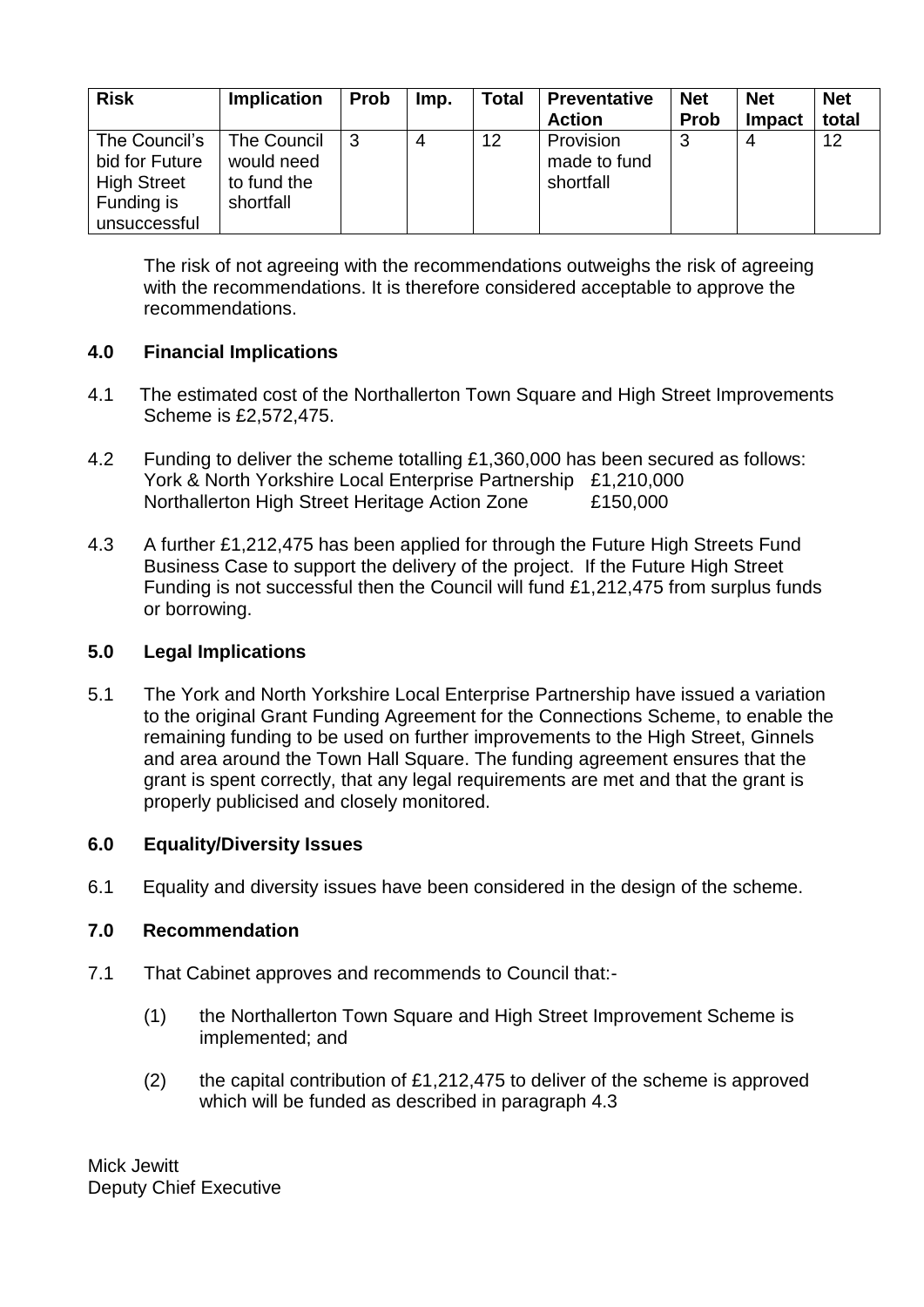| <b>Risk</b>                                                                         | <b>Implication</b>                                    | <b>Prob</b> | Imp. | <b>Total</b> | <b>Preventative</b><br><b>Action</b>   | <b>Net</b><br><b>Prob</b> | <b>Net</b><br>Impact | <b>Net</b><br>total |
|-------------------------------------------------------------------------------------|-------------------------------------------------------|-------------|------|--------------|----------------------------------------|---------------------------|----------------------|---------------------|
| The Council's<br>bid for Future<br><b>High Street</b><br>Funding is<br>unsuccessful | The Council<br>would need<br>to fund the<br>shortfall |             |      | 12           | Provision<br>made to fund<br>shortfall | 3                         |                      | 12                  |

The risk of not agreeing with the recommendations outweighs the risk of agreeing with the recommendations. It is therefore considered acceptable to approve the recommendations.

# **4.0 Financial Implications**

- 4.1 The estimated cost of the Northallerton Town Square and High Street Improvements Scheme is £2,572,475.
- 4.2 Funding to deliver the scheme totalling £1,360,000 has been secured as follows: York & North Yorkshire Local Enterprise Partnership £1,210,000 Northallerton High Street Heritage Action Zone £150,000
- 4.3 A further £1,212,475 has been applied for through the Future High Streets Fund Business Case to support the delivery of the project. If the Future High Street Funding is not successful then the Council will fund £1,212,475 from surplus funds or borrowing.

## **5.0 Legal Implications**

5.1 The York and North Yorkshire Local Enterprise Partnership have issued a variation to the original Grant Funding Agreement for the Connections Scheme, to enable the remaining funding to be used on further improvements to the High Street, Ginnels and area around the Town Hall Square. The funding agreement ensures that the grant is spent correctly, that any legal requirements are met and that the grant is properly publicised and closely monitored.

## **6.0 Equality/Diversity Issues**

6.1 Equality and diversity issues have been considered in the design of the scheme.

## **7.0 Recommendation**

- 7.1 That Cabinet approves and recommends to Council that:-
	- (1) the Northallerton Town Square and High Street Improvement Scheme is implemented; and
	- (2) the capital contribution of £1,212,475 to deliver of the scheme is approved which will be funded as described in paragraph 4.3

Mick Jewitt Deputy Chief Executive